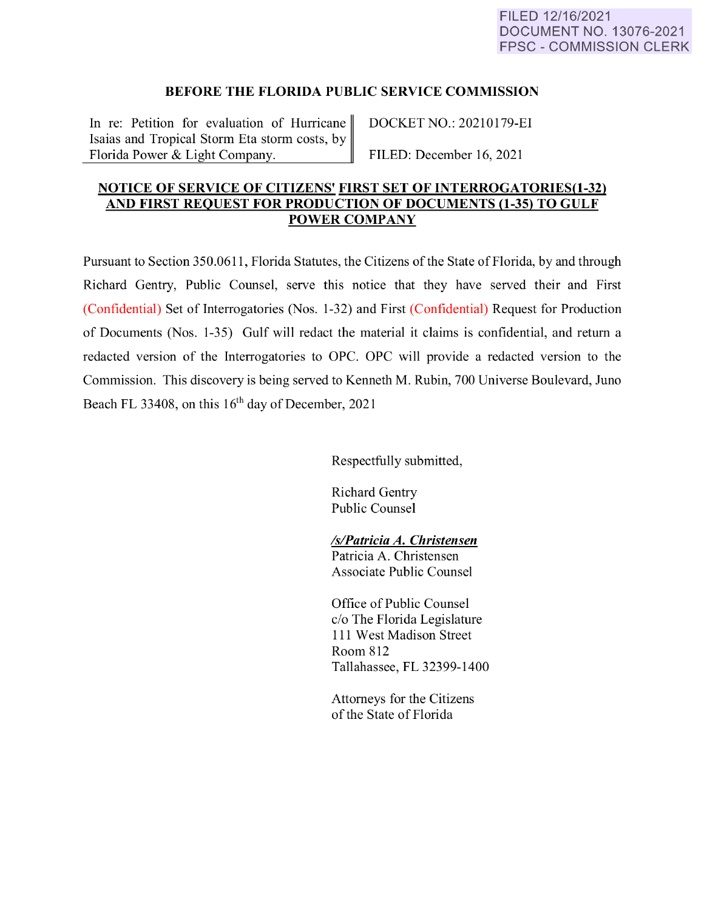## **BEFORE THE FLORIDA PUBLIC SERVICE COMMISSION**

In re: Petition for evaluation of Hurricane DOCKET NO.: 20210179-EI Isaias and Tropical Storm Eta storm costs, by Florida Power & Light Company. FILED: December 16, 2021

## **NOTICE OF SERVICE OF CITIZENS' FIRST SET OF INTERROGATORIES(1-32) AND FIRST REQUEST FOR PRODUCTION OF DOCUMENTS (1-35) TO GULF POWER COMPANY**

Pursuant to Section 350.0611, Florida Statutes, the Citizens of the State of Florida, by and through Richard Gentry, Public Counsel, serve this notice that they have served their and First (Confidential) Set of Interrogatories (Nos. 1-32) and First (Confidential) Request for Production of Documents (Nos. 1-35) Gulf will redact the material it claims is confidential, and return a redacted version of the Interrogatories to OPC. OPC will provide a redacted version to the Commission. This discovery is being served to Kenneth M. Rubin, 700 Universe Boulevard, Juno Beach FL 33408, on this  $16<sup>th</sup>$  day of December, 2021

Respectfully submitted,

Richard Gentry Public Counsel

## *ls/Patricia A. Christensen*

Patricia A. Christensen Associate Public Counsel

Office of Public Counsel c/o The Florida Legislature 111 West Madison Street Room 812 Tallahassee, FL 32399-1400

Attorneys for the Citizens of the State of Florida